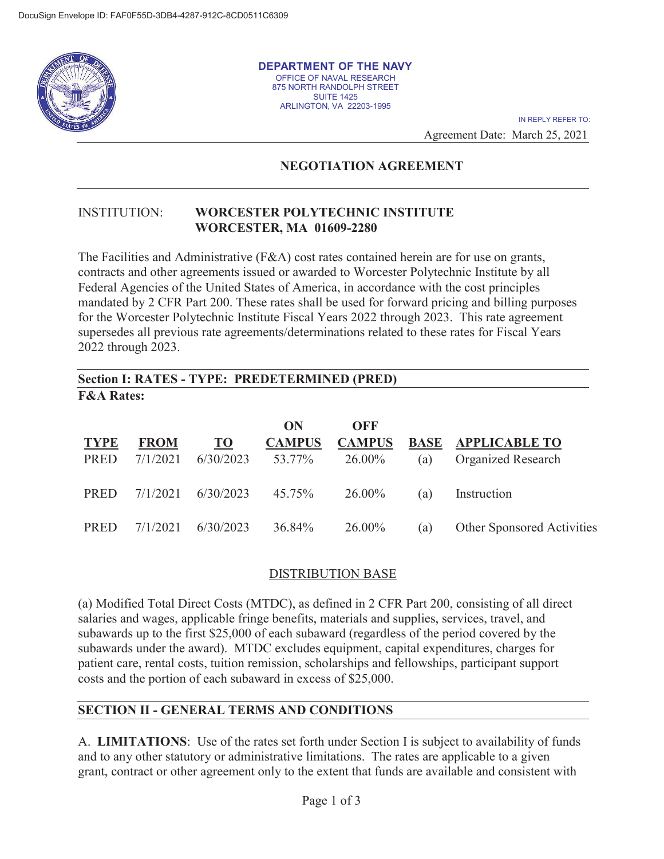

**DEPARTMENT OF THE NAVY**  OFFICE OF NAVAL RESEARCH 875 NORTH RANDOLPH STREET SUITE 1425 ARLINGTON, VA 22203-1995

> Agreement Date: March 25, 2021 IN REPLY REFER TO:

# **NEGOTIATION AGREEMENT**

#### INSTITUTION: **WORCESTER POLYTECHNIC INSTITUTE WORCESTER, MA 01609-2280**

The Facilities and Administrative (F&A) cost rates contained herein are for use on grants, contracts and other agreements issued or awarded to Worcester Polytechnic Institute by all Federal Agencies of the United States of America, in accordance with the cost principles mandated by 2 CFR Part 200. These rates shall be used for forward pricing and billing purposes for the Worcester Polytechnic Institute Fiscal Years 2022 through 2023. This rate agreement supersedes all previous rate agreements/determinations related to these rates for Fiscal Years 2022 through 2023.

## **Section I: RATES - TYPE: PREDETERMINED (PRED) F&A Rates:**

|             |             |           | ON            | OFF           |     |                                   |
|-------------|-------------|-----------|---------------|---------------|-----|-----------------------------------|
| <b>TYPE</b> | <b>FROM</b> | <b>TO</b> | <b>CAMPUS</b> | <b>CAMPUS</b> |     | <b>BASE APPLICABLE TO</b>         |
| PRED        | 7/1/2021    | 6/30/2023 | 53.77%        | 26.00%        | (a) | <b>Organized Research</b>         |
| <b>PRED</b> | 7/1/2021    | 6/30/2023 | 45.75%        | 26.00%        | (a) | Instruction                       |
|             |             |           |               |               |     |                                   |
| PRED        | 7/1/2021    | 6/30/2023 | 36.84%        | 26.00%        | (a) | <b>Other Sponsored Activities</b> |

### DISTRIBUTION BASE

(a) Modified Total Direct Costs (MTDC), as defined in 2 CFR Part 200, consisting of all direct salaries and wages, applicable fringe benefits, materials and supplies, services, travel, and subawards up to the first \$25,000 of each subaward (regardless of the period covered by the subawards under the award). MTDC excludes equipment, capital expenditures, charges for patient care, rental costs, tuition remission, scholarships and fellowships, participant support costs and the portion of each subaward in excess of \$25,000.

### **SECTION II - GENERAL TERMS AND CONDITIONS**

A. **LIMITATIONS**: Use of the rates set forth under Section I is subject to availability of funds and to any other statutory or administrative limitations. The rates are applicable to a given grant, contract or other agreement only to the extent that funds are available and consistent with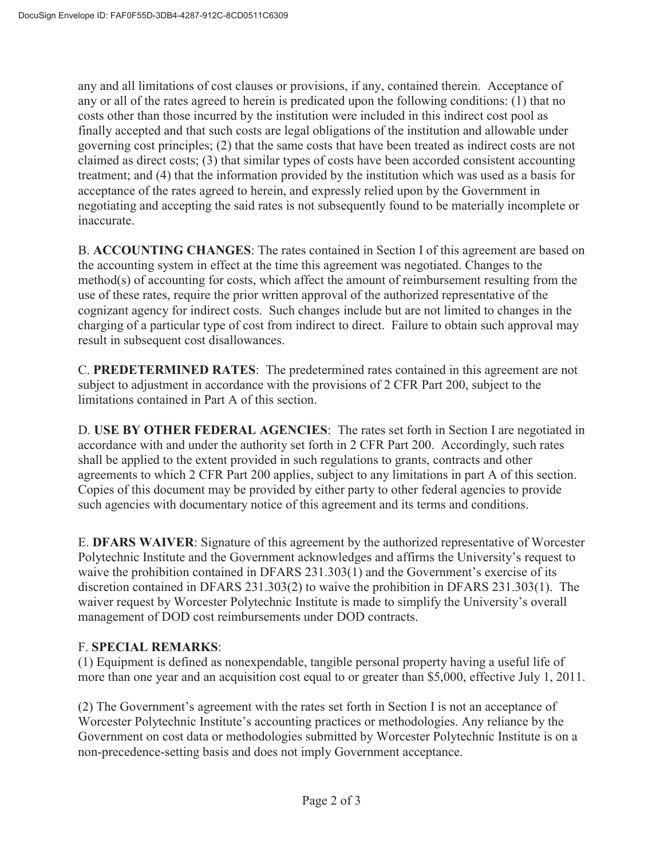any and all limitations of cost clauses or provisions, if any, contained therein. Acceptance of any or all of the rates agreed to herein is predicated upon the following conditions: (1) that no costs other than those incurred by the institution were included in this indirect cost pool as finally accepted and that such costs are legal obligations of the institution and allowable under governing cost principles; (2) that the same costs that have been treated as indirect costs are not claimed as direct costs; (3) that similar types of costs have been accorded consistent accounting treatment; and (4) that the information provided by the institution which was used as a basis for acceptance of the rates agreed to herein, and expressly relied upon by the Government in negotiating and accepting the said rates is not subsequently found to be materially incomplete or inaccurate.

B. **ACCOUNTING CHANGES**: The rates contained in Section I of this agreement are based on the accounting system in effect at the time this agreement was negotiated. Changes to the method(s) of accounting for costs, which affect the amount of reimbursement resulting from the use of these rates, require the prior written approval of the authorized representative of the cognizant agency for indirect costs. Such changes include but are not limited to changes in the charging of a particular type of cost from indirect to direct. Failure to obtain such approval may result in subsequent cost disallowances.

C. **PREDETERMINED RATES**: The predetermined rates contained in this agreement are not subject to adjustment in accordance with the provisions of 2 CFR Part 200, subject to the limitations contained in Part A of this section.

D. **USE BY OTHER FEDERAL AGENCIES**: The rates set forth in Section I are negotiated in accordance with and under the authority set forth in 2 CFR Part 200. Accordingly, such rates shall be applied to the extent provided in such regulations to grants, contracts and other agreements to which 2 CFR Part 200 applies, subject to any limitations in part A of this section. Copies of this document may be provided by either party to other federal agencies to provide such agencies with documentary notice of this agreement and its terms and conditions.

E. **DFARS WAIVER**: Signature of this agreement by the authorized representative of Worcester Polytechnic Institute and the Government acknowledges and affirms the University's request to waive the prohibition contained in DFARS 231.303(1) and the Government's exercise of its discretion contained in DFARS 231.303(2) to waive the prohibition in DFARS 231.303(1). The waiver request by Worcester Polytechnic Institute is made to simplify the University's overall management of DOD cost reimbursements under DOD contracts.

### F. **SPECIAL REMARKS**:

(1) Equipment is defined as nonexpendable, tangible personal property having a useful life of more than one year and an acquisition cost equal to or greater than \$5,000, effective July 1, 2011.

(2) The Government's agreement with the rates set forth in Section I is not an acceptance of Worcester Polytechnic Institute's accounting practices or methodologies. Any reliance by the Government on cost data or methodologies submitted by Worcester Polytechnic Institute is on a non-precedence-setting basis and does not imply Government acceptance.